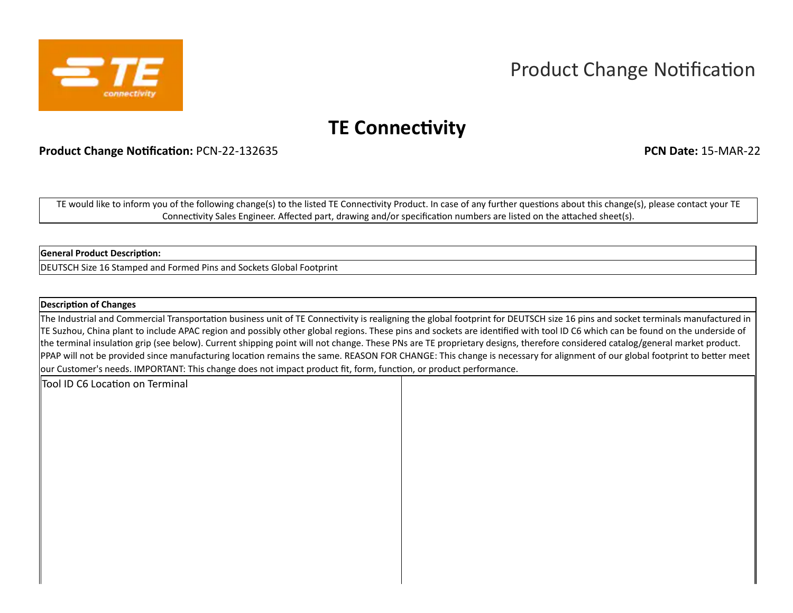

# Product Change Notification

## **TE Connectivity**

**Product Change Notification:** PCN-22-132635 **PCN Date:** 15-MAR-22

TE would like to inform you of the following change(s) to the listed TE Connectivity Product. In case of any further questions about this change(s), please contact your TE Connectivity Sales Engineer. Affected part, drawing and/or specification numbers are listed on the attached sheet(s).

#### **General Product Description:**

DEUTSCH Size 16 Stamped and Formed Pins and Sockets Global Footprint

#### **Description of Changes**

The Industrial and Commercial Transportation business unit of TE Connectivity is realigning the global footprint for DEUTSCH size 16 pins and socket terminals manufactured in TE Suzhou, China plant to include APAC region and possibly other global regions. These pins and sockets are identified with tool ID C6 which can be found on the underside of the terminal insulation grip (see below). Current shipping point will not change. These PNs are TE proprietary designs, therefore considered catalog/general market product. PPAP will not be provided since manufacturing location remains the same. REASON FOR CHANGE: This change is necessary for alignment of our global footprint to better meet our Customer's needs. IMPORTANT: This change does not impact product fit, form, function, or product performance.

Tool ID C6 Location on Terminal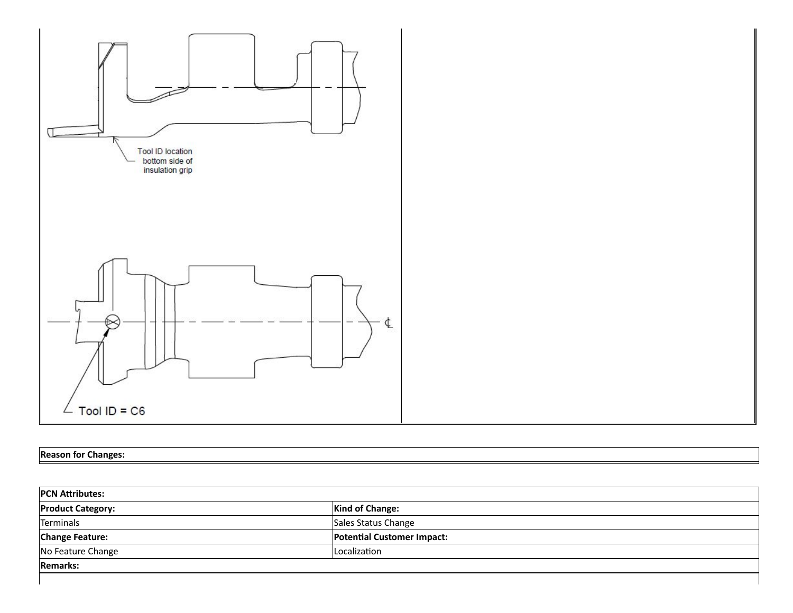

### **Reason for Changes:**

| <b>PCN Attributes:</b>   |                                   |  |  |  |  |  |
|--------------------------|-----------------------------------|--|--|--|--|--|
| <b>Product Category:</b> | <b>Kind of Change:</b>            |  |  |  |  |  |
| Terminals                | Sales Status Change               |  |  |  |  |  |
| <b>Change Feature:</b>   | <b>Potential Customer Impact:</b> |  |  |  |  |  |
| No Feature Change        | Localization                      |  |  |  |  |  |
| <b>Remarks:</b>          |                                   |  |  |  |  |  |
|                          |                                   |  |  |  |  |  |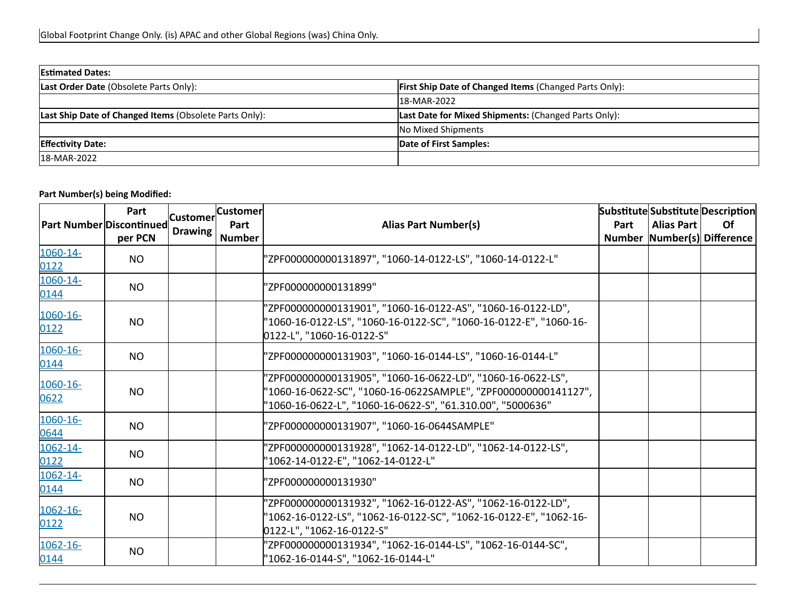| <b>Estimated Dates:</b>                                       |                                                               |  |  |  |  |  |  |
|---------------------------------------------------------------|---------------------------------------------------------------|--|--|--|--|--|--|
| Last Order Date (Obsolete Parts Only):                        | <b>First Ship Date of Changed Items (Changed Parts Only):</b> |  |  |  |  |  |  |
|                                                               | 18-MAR-2022                                                   |  |  |  |  |  |  |
| <b>Last Ship Date of Changed Items (Obsolete Parts Only):</b> | <b>Last Date for Mixed Shipments: (Changed Parts Only):</b>   |  |  |  |  |  |  |
|                                                               | No Mixed Shipments                                            |  |  |  |  |  |  |
| <b>Effectivity Date:</b>                                      | Date of First Samples:                                        |  |  |  |  |  |  |
| 18-MAR-2022                                                   |                                                               |  |  |  |  |  |  |

| <b>Part Number Discontinued</b> | Part<br>per PCN | <b>Customer</b><br>Drawing | <b>Customer</b><br>Part<br><b>Number</b> | <b>Alias Part Number(s)</b>                                                                                                                                                                 | Part | <b>Alias Part</b> | Substitute Substitute Description<br><b>Of</b><br>Number Number(s) Difference |
|---------------------------------|-----------------|----------------------------|------------------------------------------|---------------------------------------------------------------------------------------------------------------------------------------------------------------------------------------------|------|-------------------|-------------------------------------------------------------------------------|
| 1060-14-<br>0122                | <b>NO</b>       |                            |                                          | "ZPF000000000131897", "1060-14-0122-LS", "1060-14-0122-L"                                                                                                                                   |      |                   |                                                                               |
| 1060-14-<br>0144                | <b>NO</b>       |                            |                                          | 'ZPF000000000131899"                                                                                                                                                                        |      |                   |                                                                               |
| 1060-16-<br>0122                | <b>NO</b>       |                            |                                          | 'ZPF000000000131901", "1060-16-0122-AS", "1060-16-0122-LD",<br>"1060-16-0122-LS", "1060-16-0122-SC", "1060-16-0122-E", "1060-16-<br>0122-L", "1060-16-0122-S"                               |      |                   |                                                                               |
| $1060 - 16 -$<br>0144           | <b>NO</b>       |                            |                                          | "ZPF000000000131903", "1060-16-0144-LS", "1060-16-0144-L"                                                                                                                                   |      |                   |                                                                               |
| 1060-16-<br>0622                | <b>NO</b>       |                            |                                          | "ZPF000000000131905", "1060-16-0622-LD", "1060-16-0622-LS",<br>'1060-16-0622-SC", "1060-16-0622SAMPLE", "ZPF000000000141127",<br>'1060-16-0622-L", "1060-16-0622-S", "61.310.00", "5000636" |      |                   |                                                                               |
| 1060-16-<br>0644                | NO.             |                            |                                          | 'ZPF000000000131907", "1060-16-0644SAMPLE"                                                                                                                                                  |      |                   |                                                                               |
| 1062-14-<br>0122                | <b>NO</b>       |                            |                                          | 'ZPF000000000131928", "1062-14-0122-LD", "1062-14-0122-LS",<br>"1062-14-0122-E", "1062-14-0122-L"                                                                                           |      |                   |                                                                               |
| 1062-14-<br>0144                | NO.             |                            |                                          | 'ZPF000000000131930"                                                                                                                                                                        |      |                   |                                                                               |
| 1062-16-<br>0122                | <b>NO</b>       |                            |                                          | 'ZPF000000000131932", "1062-16-0122-AS", "1062-16-0122-LD",<br>'1062-16-0122-LS", "1062-16-0122-SC", "1062-16-0122-E", "1062-16-<br>0122-L", "1062-16-0122-S"                               |      |                   |                                                                               |
| $1062 - 16 -$<br>0144           | <b>NO</b>       |                            |                                          | 'ZPF000000000131934", "1062-16-0144-LS", "1062-16-0144-SC",<br>"1062-16-0144-S", "1062-16-0144-L"                                                                                           |      |                   |                                                                               |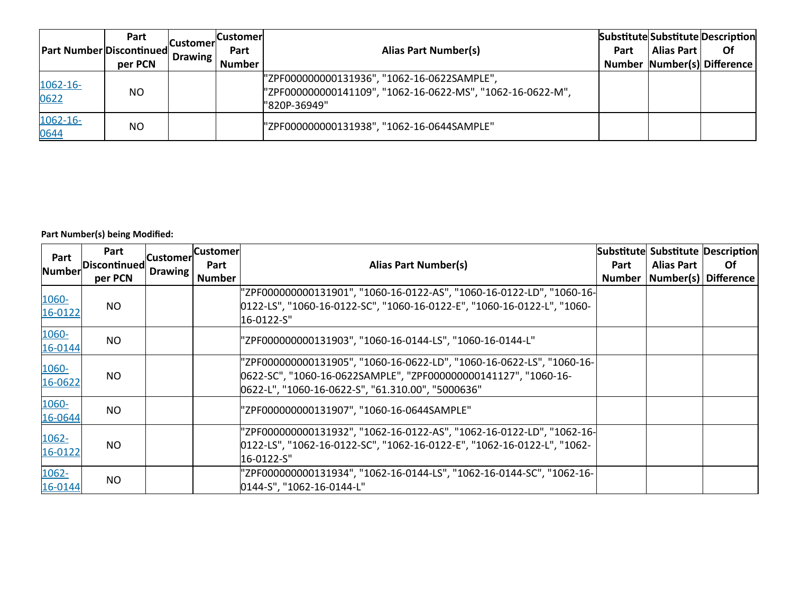| <b>Part Number Discontinued</b> | Part<br>per PCN | .lCustomerl<br>Drawing | <b>Customer</b><br>Part<br><b>Number</b> | <b>Alias Part Number(s)</b>                                                                                               | Part | Alias Part | Substitute Substitute Description<br><b>Of</b><br>Number Number(s) Difference |
|---------------------------------|-----------------|------------------------|------------------------------------------|---------------------------------------------------------------------------------------------------------------------------|------|------------|-------------------------------------------------------------------------------|
| 1062-16-<br>0622                | <b>NO</b>       |                        |                                          | "ZPF000000000131936", "1062-16-0622SAMPLE",<br>"ZPF000000000141109", "1062-16-0622-MS", "1062-16-0622-M",<br>"820P-36949" |      |            |                                                                               |
| 1062-16-<br>0644                | <b>NO</b>       |                        |                                          | "ZPF000000000131938", "1062-16-0644SAMPLE"                                                                                |      |            |                                                                               |

| Part<br><b>Number</b> | Part<br>Discontinued | <b>Customer</b><br>Drawing | <b>Customer</b><br>Part | <b>Alias Part Number(s)</b>                                                                                                                                                                   | Part | <b>Alias Part</b>               | Substitute Substitute Description<br>Of. |
|-----------------------|----------------------|----------------------------|-------------------------|-----------------------------------------------------------------------------------------------------------------------------------------------------------------------------------------------|------|---------------------------------|------------------------------------------|
|                       | per PCN              |                            | <b>Number</b>           |                                                                                                                                                                                               |      | Number   Number(s)   Difference |                                          |
| 1060-<br>16-0122      | NO.                  |                            |                         | "ZPF000000000131901", "1060-16-0122-AS", "1060-16-0122-LD", "1060-16-<br>0122-LS", "1060-16-0122-SC", "1060-16-0122-E", "1060-16-0122-L", "1060-<br>16-0122-S"                                |      |                                 |                                          |
| 1060-<br>16-0144      | N <sub>O</sub>       |                            |                         | "ZPF000000000131903", "1060-16-0144-LS", "1060-16-0144-L"                                                                                                                                     |      |                                 |                                          |
| 1060-<br>16-0622      | <b>NO</b>            |                            |                         | "ZPF000000000131905", "1060-16-0622-LD", "1060-16-0622-LS", "1060-16-<br>0622-SC", "1060-16-0622SAMPLE", "ZPF000000000141127", "1060-16-<br>0622-L", "1060-16-0622-S", "61.310.00", "5000636" |      |                                 |                                          |
| 1060-<br>16-0644      | N <sub>O</sub>       |                            |                         | "ZPF000000000131907", "1060-16-0644SAMPLE"                                                                                                                                                    |      |                                 |                                          |
| 1062-<br>16-0122      | N <sub>O</sub>       |                            |                         | "ZPF000000000131932", "1062-16-0122-AS", "1062-16-0122-LD", "1062-16-<br>0122-LS", "1062-16-0122-SC", "1062-16-0122-E", "1062-16-0122-L", "1062-<br>16-0122-S"                                |      |                                 |                                          |
| 1062-<br>16-0144      | N <sub>O</sub>       |                            |                         | 'ZPF000000000131934", "1062-16-0144-LS", "1062-16-0144-SC", "1062-16-<br>0144-S", "1062-16-0144-L"                                                                                            |      |                                 |                                          |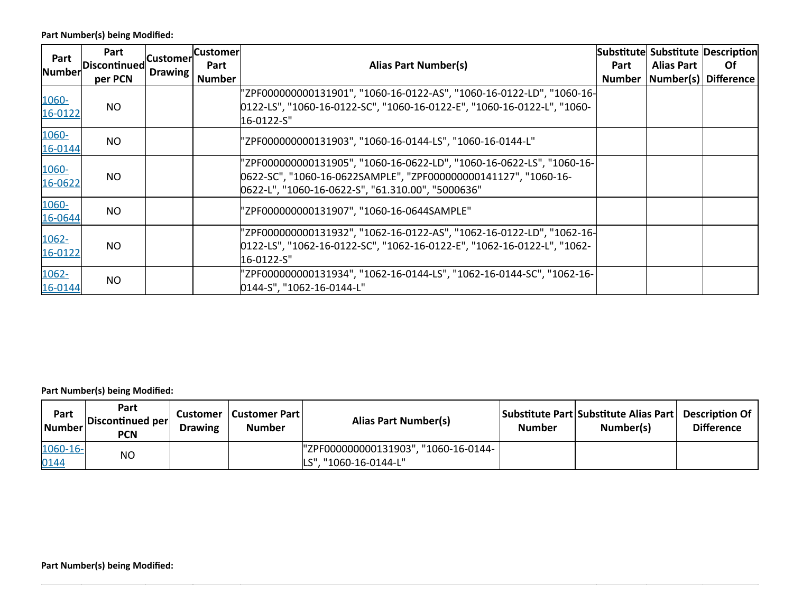| Part<br><b>Number</b> | Part<br><b>Discontinued</b> | <b>Customer</b><br>Drawing | <b>Customer</b><br>Part | <b>Alias Part Number(s)</b>                                                                                                                                                                   | Part          | <b>Alias Part</b>    | Substitute Substitute Description<br>Of. |
|-----------------------|-----------------------------|----------------------------|-------------------------|-----------------------------------------------------------------------------------------------------------------------------------------------------------------------------------------------|---------------|----------------------|------------------------------------------|
|                       | per PCN                     |                            | <b>Number</b>           |                                                                                                                                                                                               | <b>Number</b> | Number(s) Difference |                                          |
| 1060-<br>16-0122      | N <sub>O</sub>              |                            |                         | "ZPF000000000131901", "1060-16-0122-AS", "1060-16-0122-LD", "1060-16-<br>0122-LS", "1060-16-0122-SC", "1060-16-0122-E", "1060-16-0122-L", "1060-<br>16-0122-S"                                |               |                      |                                          |
| 1060-<br>16-0144      | N <sub>O</sub>              |                            |                         | "ZPF000000000131903", "1060-16-0144-LS", "1060-16-0144-L"                                                                                                                                     |               |                      |                                          |
| 1060-<br>16-0622      | <b>NO</b>                   |                            |                         | "ZPF000000000131905", "1060-16-0622-LD", "1060-16-0622-LS", "1060-16-<br>0622-SC", "1060-16-0622SAMPLE", "ZPF000000000141127", "1060-16-<br>0622-L", "1060-16-0622-S", "61.310.00", "5000636" |               |                      |                                          |
| 1060-<br>16-0644      | <b>NO</b>                   |                            |                         | "ZPF000000000131907", "1060-16-0644SAMPLE"                                                                                                                                                    |               |                      |                                          |
| 1062-<br>16-0122      | <b>NO</b>                   |                            |                         | "ZPF000000000131932", "1062-16-0122-AS", "1062-16-0122-LD", "1062-16-<br>0122-LS", "1062-16-0122-SC", "1062-16-0122-E", "1062-16-0122-L", "1062-<br>l16-0122-S"                               |               |                      |                                          |
| $1062 -$<br>16-0144   | <b>NO</b>                   |                            |                         | "ZPF000000000131934", "1062-16-0144-LS", "1062-16-0144-SC", "1062-16-<br>0144-S", "1062-16-0144-L"                                                                                            |               |                      |                                          |

| Part<br>Number | Part<br>Discontinued per<br><b>PCN</b> | Customer<br><b>Drawing</b> | Customer Part  <br><b>Number</b> | Alias Part Number(s)                 | <b>Number</b> | Substitute Part Substitute Alias Part<br>Number(s) | <b>Description Of</b><br><b>Difference</b> |
|----------------|----------------------------------------|----------------------------|----------------------------------|--------------------------------------|---------------|----------------------------------------------------|--------------------------------------------|
| 1060-16-       | <b>NO</b>                              |                            |                                  | "ZPF000000000131903", "1060-16-0144- |               |                                                    |                                            |
| 0144           |                                        |                            |                                  | LS", "1060-16-0144-L"                |               |                                                    |                                            |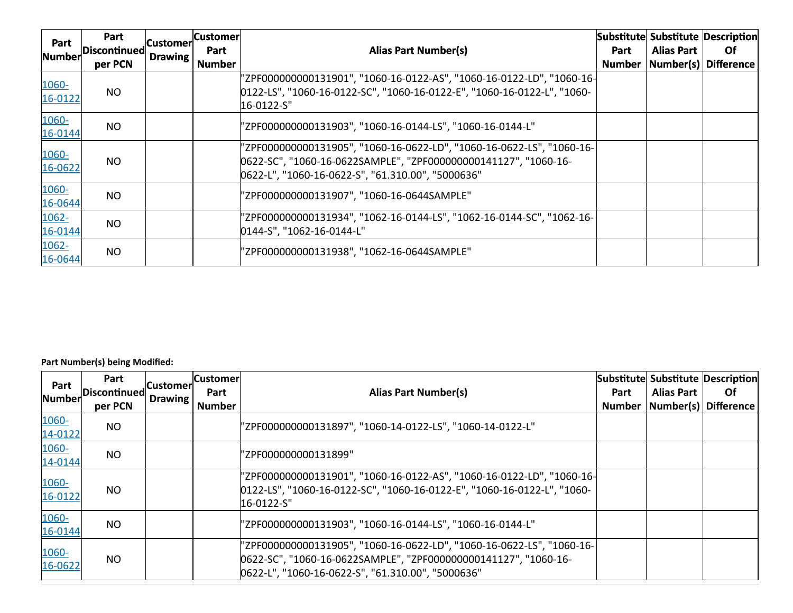| Part                | Part<br>Discontinued | Customer | <b>Customer</b>       | <b>Alias Part Number(s)</b>                                                                                                                                                                   |      |                   | Substitute Substitute Description<br>0f |
|---------------------|----------------------|----------|-----------------------|-----------------------------------------------------------------------------------------------------------------------------------------------------------------------------------------------|------|-------------------|-----------------------------------------|
| <b>Number</b>       | per PCN              | Drawing  | Part<br><b>Number</b> |                                                                                                                                                                                               | Part | <b>Alias Part</b> | Number   Number(s)   Difference         |
| 1060-<br>16-0122    | N <sub>O</sub>       |          |                       | "ZPF000000000131901", "1060-16-0122-AS", "1060-16-0122-LD", "1060-16-<br>0122-LS", "1060-16-0122-SC", "1060-16-0122-E", "1060-16-0122-L", "1060-<br>16-0122-S"                                |      |                   |                                         |
| 1060-<br>16-0144    | N <sub>O</sub>       |          |                       | "ZPF000000000131903", "1060-16-0144-LS", "1060-16-0144-L"                                                                                                                                     |      |                   |                                         |
| 1060-<br>16-0622    | NO.                  |          |                       | "ZPF000000000131905", "1060-16-0622-LD", "1060-16-0622-LS", "1060-16-<br>0622-SC", "1060-16-0622SAMPLE", "ZPF000000000141127", "1060-16-<br>0622-L", "1060-16-0622-S", "61.310.00", "5000636" |      |                   |                                         |
| 1060-<br>16-0644    | <b>NO</b>            |          |                       | "ZPF000000000131907", "1060-16-0644SAMPLE"                                                                                                                                                    |      |                   |                                         |
| $1062 -$<br>16-0144 | <b>NO</b>            |          |                       | "ZPF000000000131934",        "1062-16-0144-LS",        "1062-16-0144-SC",      "1062-16-<br>0144-S", "1062-16-0144-L"                                                                         |      |                   |                                         |
| 1062-<br>16-0644    | N <sub>O</sub>       |          |                       | "ZPF000000000131938", "1062-16-0644SAMPLE"                                                                                                                                                    |      |                   |                                         |

| Part<br>Number   | Part<br>Discontinued<br>per PCN | .lCustomerl<br>Drawing | <b>Customer</b><br>Part<br><b>Number</b> | <b>Alias Part Number(s)</b>                                                                                                                                                                   | Part<br><b>Number</b> | <b>Alias Part</b><br>Number(s) Difference | Substitute Substitute Description<br><b>Of</b> |
|------------------|---------------------------------|------------------------|------------------------------------------|-----------------------------------------------------------------------------------------------------------------------------------------------------------------------------------------------|-----------------------|-------------------------------------------|------------------------------------------------|
| 1060-<br>14-0122 | <b>NO</b>                       |                        |                                          | "ZPF000000000131897", "1060-14-0122-LS", "1060-14-0122-L"                                                                                                                                     |                       |                                           |                                                |
| 1060-<br>14-0144 | <b>NO</b>                       |                        |                                          | "ZPF000000000131899"                                                                                                                                                                          |                       |                                           |                                                |
| 1060-<br>16-0122 | NO.                             |                        |                                          | "ZPF000000000131901", "1060-16-0122-AS", "1060-16-0122-LD", "1060-16-<br>0122-LS", "1060-16-0122-SC", "1060-16-0122-E", "1060-16-0122-L", "1060-<br>16-0122-S"                                |                       |                                           |                                                |
| 1060-<br>16-0144 | <b>NO</b>                       |                        |                                          | "ZPF000000000131903", "1060-16-0144-LS", "1060-16-0144-L"                                                                                                                                     |                       |                                           |                                                |
| 1060-<br>16-0622 | NO.                             |                        |                                          | "ZPF000000000131905", "1060-16-0622-LD", "1060-16-0622-LS", "1060-16-<br>0622-SC", "1060-16-0622SAMPLE", "ZPF000000000141127", "1060-16-<br>0622-L", "1060-16-0622-S", "61.310.00", "5000636" |                       |                                           |                                                |